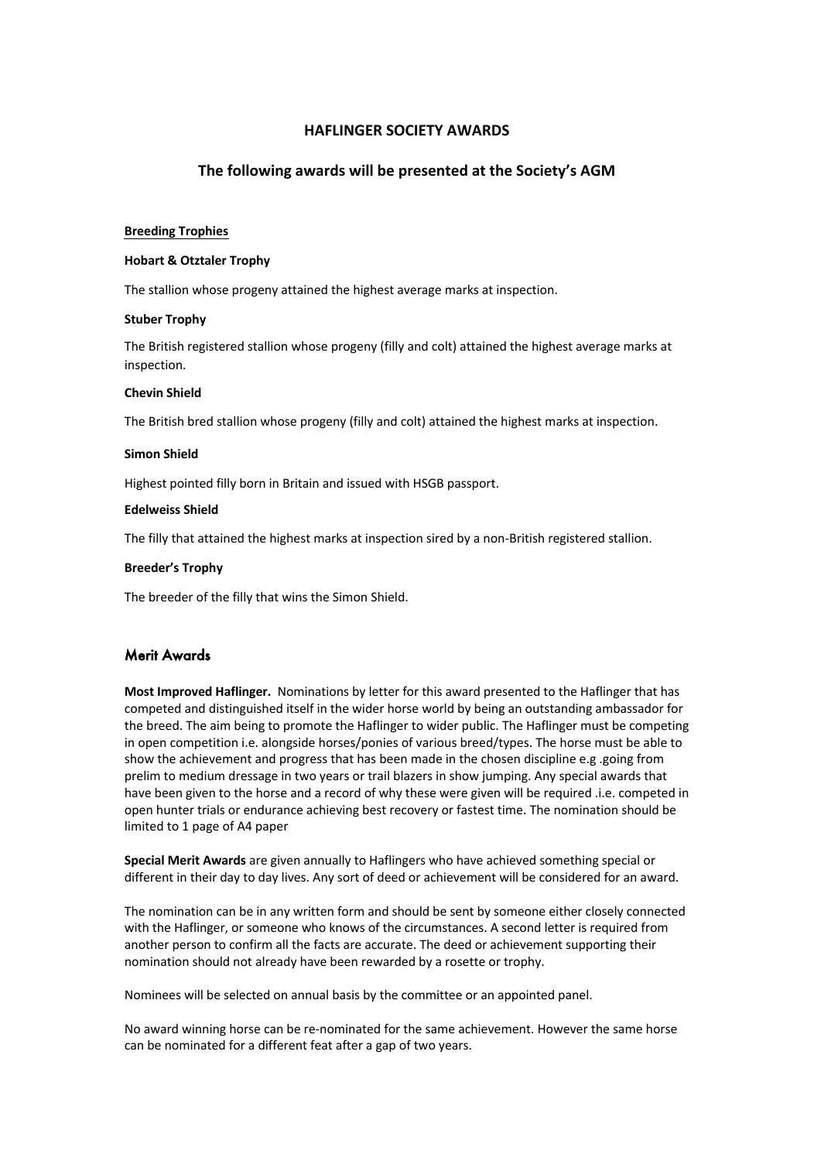# **HAFLINGER SOCIETY AWARDS**

# **The following awards will be presented at the Society's AGM**

#### **Breeding Trophies**

#### **Hobart & Otztaler Trophy**

The stallion whose progeny attained the highest average marks at inspection.

#### **Stuber Trophy**

The British registered stallion whose progeny (filly and colt) attained the highest average marks at inspection.

### **Chevin Shield**

The British bred stallion whose progeny (filly and colt) attained the highest marks at inspection.

### **Simon Shield**

Highest pointed filly born in Britain and issued with HSGB passport.

### **Edelweiss Shield**

The filly that attained the highest marks at inspection sired by a non-British registered stallion.

### **Breeder's Trophy**

The breeder of the filly that wins the Simon Shield.

## Merit Awards

**Most Improved Haflinger.** Nominations by letter for this award presented to the Haflinger that has competed and distinguished itself in the wider horse world by being an outstanding ambassador for the breed. The aim being to promote the Haflinger to wider public. The Haflinger must be competing in open competition i.e. alongside horses/ponies of various breed/types. The horse must be able to show the achievement and progress that has been made in the chosen discipline e.g .going from prelim to medium dressage in two years or trail blazers in show jumping. Any special awards that have been given to the horse and a record of why these were given will be required .i.e. competed in open hunter trials or endurance achieving best recovery or fastest time. The nomination should be limited to 1 page of A4 paper

**Special Merit Awards** are given annually to Haflingers who have achieved something special or different in their day to day lives. Any sort of deed or achievement will be considered for an award.

The nomination can be in any written form and should be sent by someone either closely connected with the Haflinger, or someone who knows of the circumstances. A second letter is required from another person to confirm all the facts are accurate. The deed or achievement supporting their nomination should not already have been rewarded by a rosette or trophy.

Nominees will be selected on annual basis by the committee or an appointed panel.

No award winning horse can be re-nominated for the same achievement. However the same horse can be nominated for a different feat after a gap of two years.